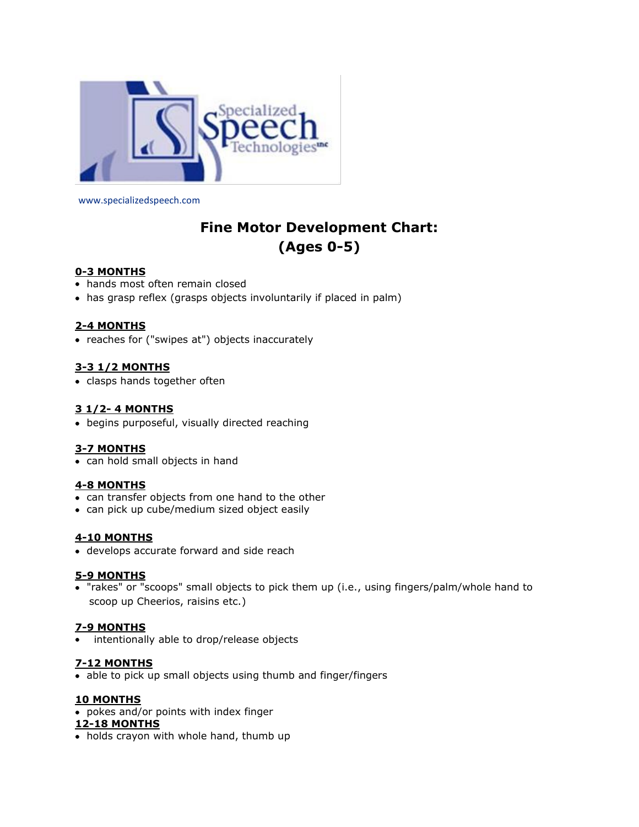

www.specializedspeech.com

# **Fine Motor Development Chart: (Ages 0-5)**

# **0-3 MONTHS**

- hands most often remain closed
- has grasp reflex (grasps objects involuntarily if placed in palm)

## **2-4 MONTHS**

• reaches for ("swipes at") objects inaccurately

# **3-3 1/2 MONTHS**

• clasps hands together often

# **3 1/2- 4 MONTHS**

begins purposeful, visually directed reaching

#### **3-7 MONTHS**

• can hold small objects in hand

## **4-8 MONTHS**

- can transfer objects from one hand to the other
- can pick up cube/medium sized object easily

#### **4-10 MONTHS**

develops accurate forward and side reach

#### **5-9 MONTHS**

 "rakes" or "scoops" small objects to pick them up (i.e., using fingers/palm/whole hand to scoop up Cheerios, raisins etc.)

#### **7-9 MONTHS**

intentionally able to drop/release objects

# **7-12 MONTHS**

• able to pick up small objects using thumb and finger/fingers

#### **10 MONTHS**

pokes and/or points with index finger

#### **12-18 MONTHS**

• holds crayon with whole hand, thumb up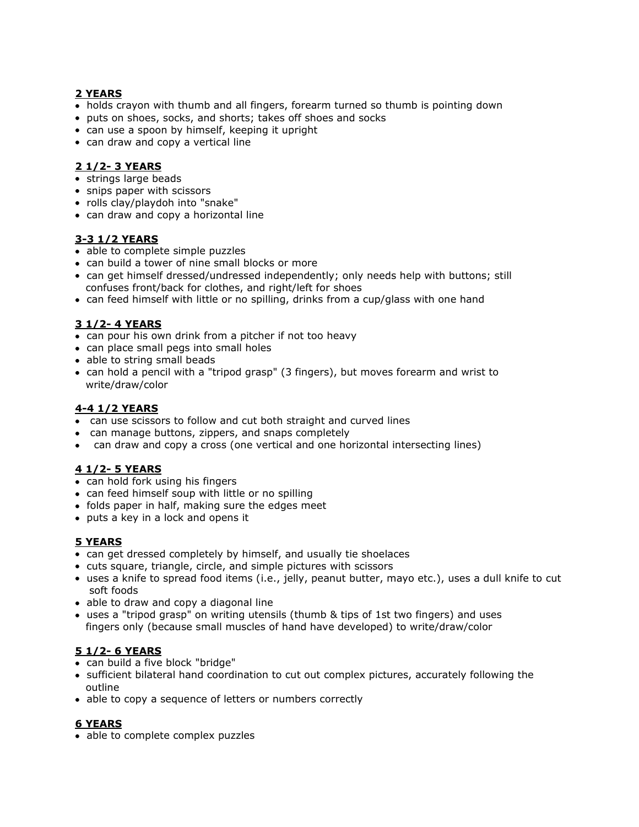# **2 YEARS**

- holds crayon with thumb and all fingers, forearm turned so thumb is pointing down
- puts on shoes, socks, and shorts; takes off shoes and socks
- can use a spoon by himself, keeping it upright
- can draw and copy a vertical line

# **2 1/2- 3 YEARS**

- strings large beads
- snips paper with scissors
- rolls clay/playdoh into "snake"
- can draw and copy a horizontal line

# **3-3 1/2 YEARS**

- able to complete simple puzzles
- can build a tower of nine small blocks or more
- can get himself dressed/undressed independently; only needs help with buttons; still confuses front/back for clothes, and right/left for shoes
- can feed himself with little or no spilling, drinks from a cup/glass with one hand

# **3 1/2- 4 YEARS**

- can pour his own drink from a pitcher if not too heavy
- can place small pegs into small holes
- able to string small beads
- can hold a pencil with a "tripod grasp" (3 fingers), but moves forearm and wrist to write/draw/color

# **4-4 1/2 YEARS**

- can use scissors to follow and cut both straight and curved lines
- can manage buttons, zippers, and snaps completely
- can draw and copy a cross (one vertical and one horizontal intersecting lines)

# **4 1/2- 5 YEARS**

- can hold fork using his fingers
- can feed himself soup with little or no spilling
- folds paper in half, making sure the edges meet
- puts a key in a lock and opens it

# **5 YEARS**

- can get dressed completely by himself, and usually tie shoelaces
- cuts square, triangle, circle, and simple pictures with scissors
- uses a knife to spread food items (i.e., jelly, peanut butter, mayo etc.), uses a dull knife to cut soft foods
- able to draw and copy a diagonal line
- uses a "tripod grasp" on writing utensils (thumb & tips of 1st two fingers) and uses fingers only (because small muscles of hand have developed) to write/draw/color

# **5 1/2- 6 YEARS**

- can build a five block "bridge"
- sufficient bilateral hand coordination to cut out complex pictures, accurately following the outline
- able to copy a sequence of letters or numbers correctly

# **6 YEARS**

• able to complete complex puzzles